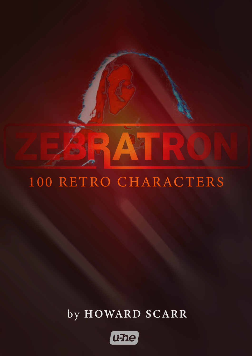

# 100 RETRO CHARACTERS

## by HOWARD SCARR

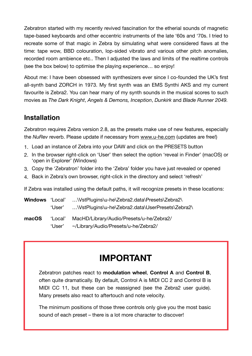Zebratron started with my recently revived fascination for the etherial sounds of magnetic tape-based keyboards and other eccentric instruments of the late '60s and '70s. I tried to recreate some of that magic in Zebra by simulating what were considered flaws at the time: tape wow, BBD colouration, lop-sided vibrato and various other pitch anomalies, recorded room ambience etc.. Then I adjusted the laws and limits of the realtime controls (see the box below) to optimise the playing experience… so enjoy!

About me: I have been obsessed with synthesizers ever since I co-founded the UK's first all-synth band ZORCH in 1973. My first synth was an EMS Synthi AKS and my current favourite is Zebra2. You can hear many of my synth sounds in the musical scores to such movies as *The Dark Knight*, *Angels & Demons, Inception*, *Dunkirk* and *Blade Runner 2049.*

#### **Installation**

Zebratron requires Zebra version 2.8, as the presets make use of new features, especially the *NuRev* reverb. Please update if necessary from [www.u-he.com](http://www.u-he.com/products/zebra2) (updates are free!)

- 1. Load an instance of Zebra into your DAW and click on the PRESETS button
- 2. In the browser right-click on 'User' then select the option 'reveal in Finder' (macOS) or 'open in Explorer' (Windows)
- 3. Copy the 'Zebratron' folder into the 'Zebra' folder you have just revealed or opened
- 4. Back in Zebra's own browser, right-click in the directory and select 'refresh'

If Zebra was installed using the default paths, it will recognize presets in these locations:

| <b>Windows</b> 'Local' |        | \VstPlugins\u-he\Zebra2.data\Presets\Zebra2\     |
|------------------------|--------|--------------------------------------------------|
|                        | 'User' | \VstPlugins\u-he\Zebra2.data\UserPresets\Zebra2\ |
| macOS                  |        | 'Local' MacHD/Library/Audio/Presets/u-he/Zebra2/ |
|                        | 'User' | ~/Library/Audio/Presets/u-he/Zebra2/             |

### **IMPORTANT**

Zebratron patches react to **modulation wheel**, **Control A** and **Control B**, often quite dramatically. By default, Control A is MIDI CC 2 and Control B is MIDI CC 11, but these can be reassigned (see the Zebra2 user guide). Many presets also react to aftertouch and note velocity.

The minimum positions of those three controls only give you the most basic sound of each preset – there is a lot more character to discover!